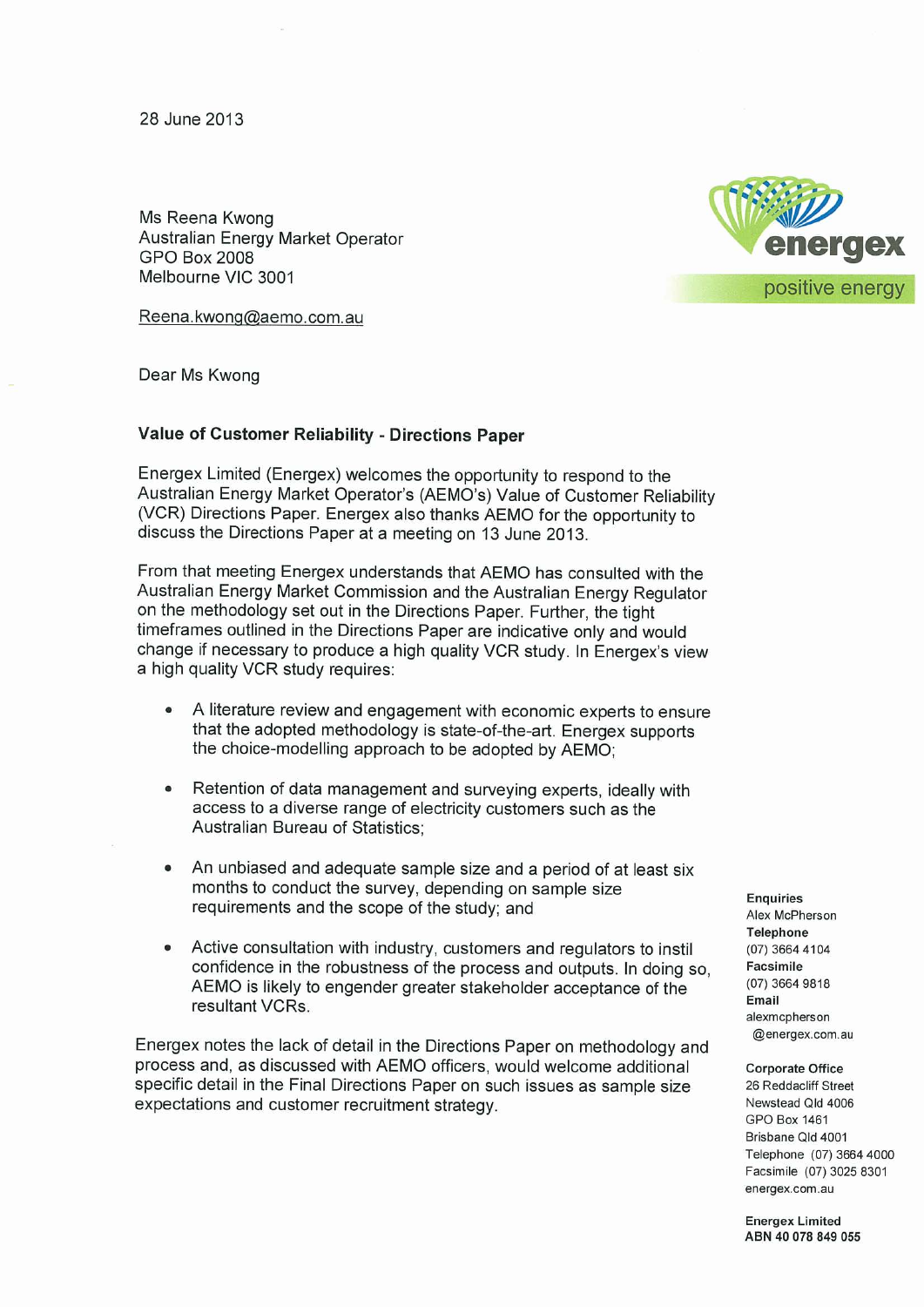28 June 2013

Ms Reena Kwong Australian Energy Market Operator GPO Box 2008 Melbourne VIC 3001

Reena .kwong@aemo .com.au

Dear Ms Kwong

## **Value of Customer Reliability - Directions Paper**

Energex Limited (Energex) welcomes the opportunity to respond to the Australian Energy Market Operator's (AEMO's) Value of Customer Reliability (VCR) Directions Paper. Energex also thanks AEMO for the opportunity to discuss the Directions Paper at a meeting on 13 June 2013.

From that meeting Energex understands that AEMO has consulted with the Australian Energy Market Commission and the Australian Energy Regulator on the methodology set out in the Directions Paper. Further, the tight timeframes outlined in the Directions Paper are indicative only and would change if necessary to produce a high quality VCR study . In Energex's view a high quality VCR study requires :

- A literature review and engagement with economic experts to ensure that the adopted methodology is state-of-the-art. Energex supports the choice-modelling approach to be adopted by AEMO;
- Retention of data management and surveying experts, ideally with access to a diverse range of electricity customers such as the Australian Bureau of Statistics ;
- An unbiased and adequate sample size and a period of at least six months to conduct the survey, depending on sample size requirements and the scope of the study; and
- Active consultation with industry, customers and regulators to instil confidence in the robustness of the process and outputs . In doing so, AEMO is likely to engender greater stakeholder acceptance of the resultant VCRs.

Energex notes the lack of detail in the Directions Paper on methodology and process and, as discussed with AEMO officers , would welcome additional specific detail in the Final Directions Paper on such issues as sample size expectations and customer recruitment strategy .

**Enquiries**  Alex McPherson **Telephone**  (07) 3664 4104 **Facsimile**  (07) 3664 98 18 **Email**  alexmcpherson @energex .com.au

**Corporate Office**  26 Reddacliff Street Newstead Qld 4006 GPO Box 1461 Brisbane Qld 4001 Telephone (07) 3664 4000 Facsimile (07) 3025 8301 energex .com.au

**Energex Limited ABN 40 078 849 055**